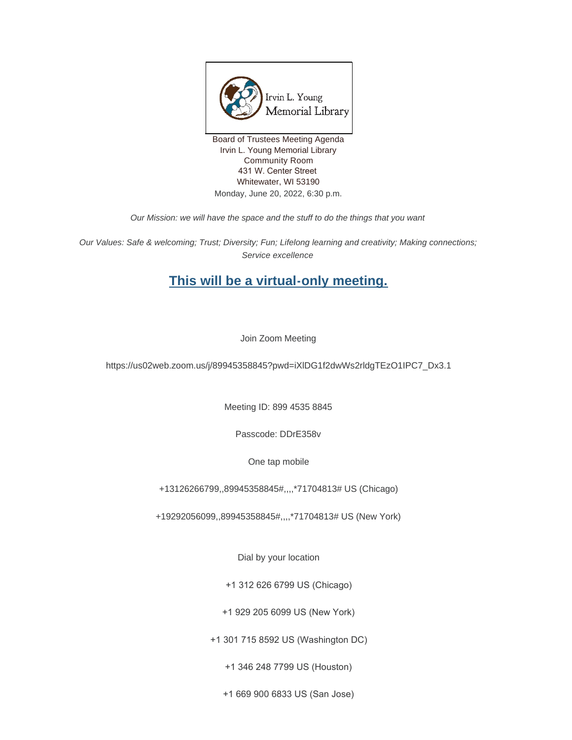

Board of Trustees Meeting Agenda Irvin L. Young Memorial Library Community Room 431 W. Center Street Whitewater, WI 53190 Monday, June 20, 2022, 6:30 p.m.

*Our Mission: we will have the space and the stuff to do the things that you want*

*Our Values: Safe & welcoming; Trust; Diversity; Fun; Lifelong learning and creativity; Making connections; Service excellence*

# **This will be a virtual-only meeting.**

Join Zoom Meeting

https://us02web.zoom.us/j/89945358845?pwd=iXlDG1f2dwWs2rldgTEzO1IPC7\_Dx3.1

Meeting ID: 899 4535 8845

Passcode: DDrE358v

One tap mobile

+13126266799,,89945358845#,,,,\*71704813# US (Chicago)

+19292056099,,89945358845#,,,,\*71704813# US (New York)

Dial by your location

+1 312 626 6799 US (Chicago)

+1 929 205 6099 US (New York)

+1 301 715 8592 US (Washington DC)

+1 346 248 7799 US (Houston)

+1 669 900 6833 US (San Jose)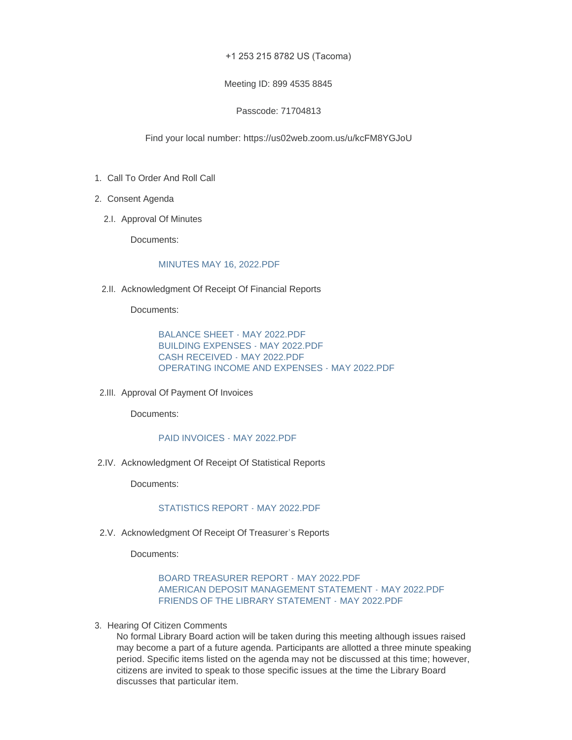### +1 253 215 8782 US (Tacoma)

#### Meeting ID: 899 4535 8845

# Passcode: 71704813

### Find your local number: https://us02web.zoom.us/u/kcFM8YGJoU

- 1. Call To Order And Roll Call
- 2. Consent Agenda
	- 2.I. Approval Of Minutes

Documents:

#### [MINUTES MAY 16, 2022.PDF](https://www.whitewater-wi.gov/AgendaCenter/ViewFile/Item/5910?fileID=26417)

2.II. Acknowledgment Of Receipt Of Financial Reports

Documents:

[BALANCE SHEET - MAY 2022.PDF](https://www.whitewater-wi.gov/AgendaCenter/ViewFile/Item/5932?fileID=26449) [BUILDING EXPENSES - MAY 2022.PDF](https://www.whitewater-wi.gov/AgendaCenter/ViewFile/Item/5932?fileID=26450) [CASH RECEIVED - MAY 2022.PDF](https://www.whitewater-wi.gov/AgendaCenter/ViewFile/Item/5932?fileID=26451) [OPERATING INCOME AND EXPENSES - MAY 2022.PDF](https://www.whitewater-wi.gov/AgendaCenter/ViewFile/Item/5932?fileID=26452)

2.III. Approval Of Payment Of Invoices

Documents:

#### [PAID INVOICES - MAY 2022.PDF](https://www.whitewater-wi.gov/AgendaCenter/ViewFile/Item/5929?fileID=26443)

2.IV. Acknowledgment Of Receipt Of Statistical Reports

Documents:

# [STATISTICS REPORT - MAY 2022.PDF](https://www.whitewater-wi.gov/AgendaCenter/ViewFile/Item/5930?fileID=26444)

2.V. Acknowledgment Of Receipt Of Treasurer's Reports

Documents:

### [BOARD TREASURER REPORT -](https://www.whitewater-wi.gov/AgendaCenter/ViewFile/Item/5912?fileID=26422) MAY 2022.PDF [AMERICAN DEPOSIT MANAGEMENT STATEMENT -](https://www.whitewater-wi.gov/AgendaCenter/ViewFile/Item/5912?fileID=26423) MAY 2022.PDF [FRIENDS OF THE LIBRARY STATEMENT -](https://www.whitewater-wi.gov/AgendaCenter/ViewFile/Item/5912?fileID=26424) MAY 2022.PDF

3. Hearing Of Citizen Comments

No formal Library Board action will be taken during this meeting although issues raised may become a part of a future agenda. Participants are allotted a three minute speaking period. Specific items listed on the agenda may not be discussed at this time; however, citizens are invited to speak to those specific issues at the time the Library Board discusses that particular item.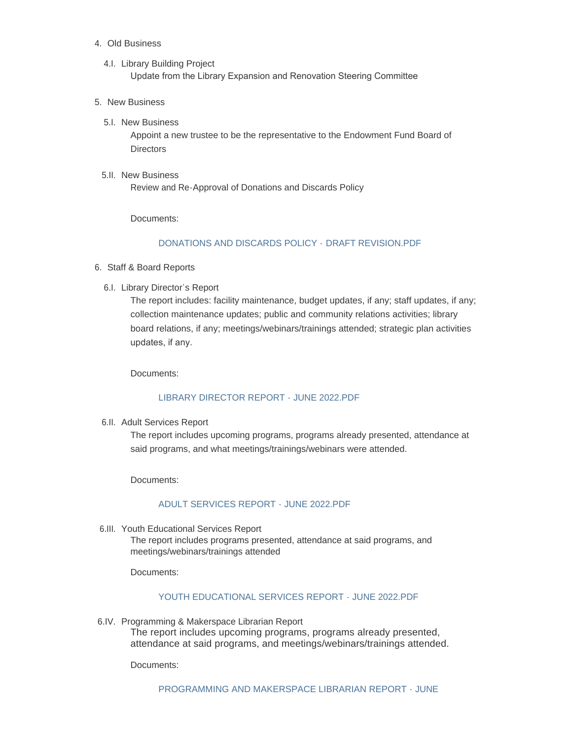# Old Business 4.

- 4.I. Library Building Project Update from the Library Expansion and Renovation Steering Committee
- 5. New Business
	- 5.I. New Business

Appoint a new trustee to be the representative to the Endowment Fund Board of **Directors** 

5.II. New Business Review and Re-Approval of Donations and Discards Policy

Documents:

# [DONATIONS AND DISCARDS POLICY -](https://www.whitewater-wi.gov/AgendaCenter/ViewFile/Item/5927?fileID=26435) DRAFT REVISION.PDF

- 6. Staff & Board Reports
	- 6.I. Library Director's Report

The report includes: facility maintenance, budget updates, if any; staff updates, if any; collection maintenance updates; public and community relations activities; library board relations, if any; meetings/webinars/trainings attended; strategic plan activities updates, if any.

Documents:

#### [LIBRARY DIRECTOR REPORT - JUNE 2022.PDF](https://www.whitewater-wi.gov/AgendaCenter/ViewFile/Item/5919?fileID=26430)

6.II. Adult Services Report

The report includes upcoming programs, programs already presented, attendance at said programs, and what meetings/trainings/webinars were attended.

Documents:

# [ADULT SERVICES REPORT - JUNE 2022.PDF](https://www.whitewater-wi.gov/AgendaCenter/ViewFile/Item/5920?fileID=26431)

6.III. Youth Educational Services Report

The report includes programs presented, attendance at said programs, and meetings/webinars/trainings attended

Documents:

# [YOUTH EDUCATIONAL SERVICES REPORT - JUNE 2022.PDF](https://www.whitewater-wi.gov/AgendaCenter/ViewFile/Item/5921?fileID=26432)

6.IV. Programming & Makerspace Librarian Report The report includes upcoming programs, programs already presented, attendance at said programs, and meetings/webinars/trainings attended.

Documents: